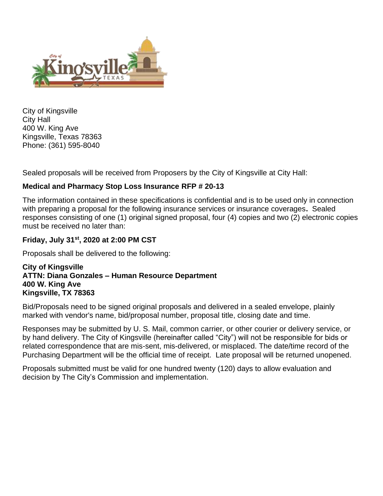

City of Kingsville City Hall 400 W. King Ave Kingsville, Texas 78363 Phone: (361) 595-8040

Sealed proposals will be received from Proposers by the City of Kingsville at City Hall:

### **Medical and Pharmacy Stop Loss Insurance RFP # 20-13**

The information contained in these specifications is confidential and is to be used only in connection with preparing a proposal for the following insurance services or insurance coverages**.** Sealed responses consisting of one (1) original signed proposal, four (4) copies and two (2) electronic copies must be received no later than:

#### **Friday, July 31st, 2020 at 2:00 PM CST**

Proposals shall be delivered to the following:

#### **City of Kingsville ATTN: Diana Gonzales – Human Resource Department 400 W. King Ave Kingsville, TX 78363**

Bid/Proposals need to be signed original proposals and delivered in a sealed envelope, plainly marked with vendor's name, bid/proposal number, proposal title, closing date and time.

Responses may be submitted by U. S. Mail, common carrier, or other courier or delivery service, or by hand delivery. The City of Kingsville (hereinafter called "City") will not be responsible for bids or related correspondence that are mis-sent, mis-delivered, or misplaced. The date/time record of the Purchasing Department will be the official time of receipt. Late proposal will be returned unopened.

Proposals submitted must be valid for one hundred twenty (120) days to allow evaluation and decision by The City's Commission and implementation.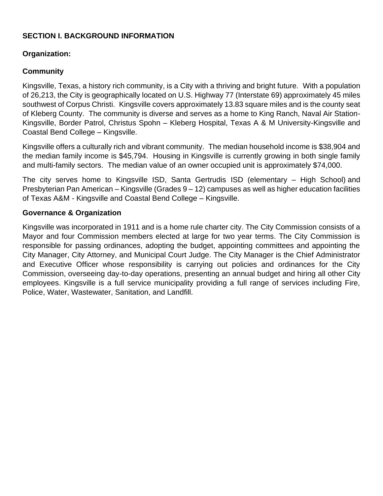### **SECTION I. BACKGROUND INFORMATION**

### **Organization:**

### **Community**

Kingsville, Texas, a history rich community, is a City with a thriving and bright future. With a population of 26,213, the City is geographically located on U.S. Highway 77 (Interstate 69) approximately 45 miles southwest of Corpus Christi. Kingsville covers approximately 13.83 square miles and is the county seat of Kleberg County. The community is diverse and serves as a home to King Ranch, Naval Air Station-Kingsville, Border Patrol, Christus Spohn – Kleberg Hospital, Texas A & M University-Kingsville and Coastal Bend College – Kingsville.

Kingsville offers a culturally rich and vibrant community. The median household income is \$38,904 and the median family income is \$45,794. Housing in Kingsville is currently growing in both single family and multi-family sectors. The median value of an owner occupied unit is approximately \$74,000.

The city serves home to Kingsville ISD, Santa Gertrudis ISD (elementary – High School) and Presbyterian Pan American – Kingsville (Grades 9 – 12) campuses as well as higher education facilities of Texas A&M - Kingsville and Coastal Bend College – Kingsville.

#### **Governance & Organization**

Kingsville was incorporated in 1911 and is a home rule charter city. The City Commission consists of a Mayor and four Commission members elected at large for two year terms. The City Commission is responsible for passing ordinances, adopting the budget, appointing committees and appointing the City Manager, City Attorney, and Municipal Court Judge. The City Manager is the Chief Administrator and Executive Officer whose responsibility is carrying out policies and ordinances for the City Commission, overseeing day-to-day operations, presenting an annual budget and hiring all other City employees. Kingsville is a full service municipality providing a full range of services including Fire, Police, Water, Wastewater, Sanitation, and Landfill.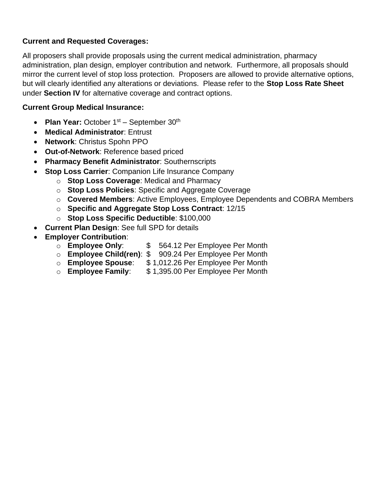## **Current and Requested Coverages:**

All proposers shall provide proposals using the current medical administration, pharmacy administration, plan design, employer contribution and network. Furthermore, all proposals should mirror the current level of stop loss protection. Proposers are allowed to provide alternative options, but will clearly identified any alterations or deviations. Please refer to the **Stop Loss Rate Sheet** under **Section IV** for alternative coverage and contract options.

## **Current Group Medical Insurance:**

- Plan Year: October 1<sup>st</sup> September 30<sup>th</sup>
- **Medical Administrator**: Entrust
- **Network**: Christus Spohn PPO
- **Out-of-Network**: Reference based priced
- **Pharmacy Benefit Administrator**: Southernscripts
- **Stop Loss Carrier**: Companion Life Insurance Company
	- o **Stop Loss Coverage**: Medical and Pharmacy
	- o **Stop Loss Policies**: Specific and Aggregate Coverage
	- o **Covered Members**: Active Employees, Employee Dependents and COBRA Members
	- o **Specific and Aggregate Stop Loss Contract**: 12/15
	- o **Stop Loss Specific Deductible**: \$100,000
- **Current Plan Design**: See full SPD for details
- **Employer Contribution**:
	- o **Employee Only**: \$ 564.12 Per Employee Per Month
	- o **Employee Child(ren)**: \$ 909.24 Per Employee Per Month
	- o **Employee Spouse**: \$ 1,012.26 Per Employee Per Month
	- o **Employee Family**: \$ 1,395.00 Per Employee Per Month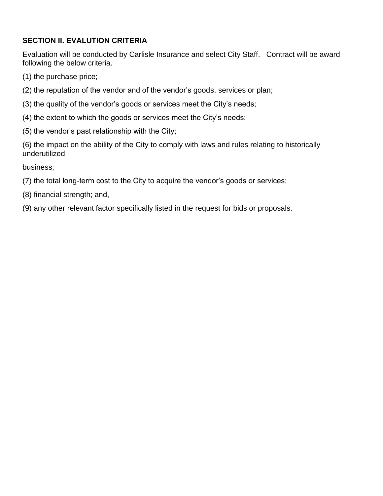# **SECTION II. EVALUTION CRITERIA**

Evaluation will be conducted by Carlisle Insurance and select City Staff. Contract will be award following the below criteria.

- (1) the purchase price;
- (2) the reputation of the vendor and of the vendor's goods, services or plan;
- (3) the quality of the vendor's goods or services meet the City's needs;
- (4) the extent to which the goods or services meet the City's needs;
- (5) the vendor's past relationship with the City;

(6) the impact on the ability of the City to comply with laws and rules relating to historically underutilized

business;

- (7) the total long-term cost to the City to acquire the vendor's goods or services;
- (8) financial strength; and,
- (9) any other relevant factor specifically listed in the request for bids or proposals.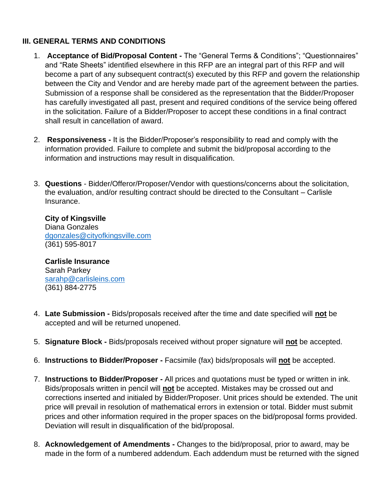### **III. GENERAL TERMS AND CONDITIONS**

- 1. **Acceptance of Bid/Proposal Content -** The "General Terms & Conditions"; "Questionnaires" and "Rate Sheets" identified elsewhere in this RFP are an integral part of this RFP and will become a part of any subsequent contract(s) executed by this RFP and govern the relationship between the City and Vendor and are hereby made part of the agreement between the parties. Submission of a response shall be considered as the representation that the Bidder/Proposer has carefully investigated all past, present and required conditions of the service being offered in the solicitation. Failure of a Bidder/Proposer to accept these conditions in a final contract shall result in cancellation of award.
- 2. **Responsiveness -** It is the Bidder/Proposer's responsibility to read and comply with the information provided. Failure to complete and submit the bid/proposal according to the information and instructions may result in disqualification.
- 3. **Questions**  Bidder/Offeror/Proposer/Vendor with questions/concerns about the solicitation, the evaluation, and/or resulting contract should be directed to the Consultant – Carlisle Insurance.

**City of Kingsville** Diana Gonzales [dgonzales@cityofkingsville.com](mailto:dgonzales@cityofkingsville.com) (361) 595-8017

**Carlisle Insurance** Sarah Parkey [sarahp@carlisleins.com](mailto:sarahp@carlisleins.com) (361) 884-2775

- 4. **Late Submission -** Bids/proposals received after the time and date specified will **not** be accepted and will be returned unopened.
- 5. **Signature Block -** Bids/proposals received without proper signature will **not** be accepted.
- 6. **Instructions to Bidder/Proposer -** Facsimile (fax) bids/proposals will **not** be accepted.
- 7. **Instructions to Bidder/Proposer -** All prices and quotations must be typed or written in ink. Bids/proposals written in pencil will **not** be accepted. Mistakes may be crossed out and corrections inserted and initialed by Bidder/Proposer. Unit prices should be extended. The unit price will prevail in resolution of mathematical errors in extension or total. Bidder must submit prices and other information required in the proper spaces on the bid/proposal forms provided. Deviation will result in disqualification of the bid/proposal.
- 8. **Acknowledgement of Amendments -** Changes to the bid/proposal, prior to award, may be made in the form of a numbered addendum. Each addendum must be returned with the signed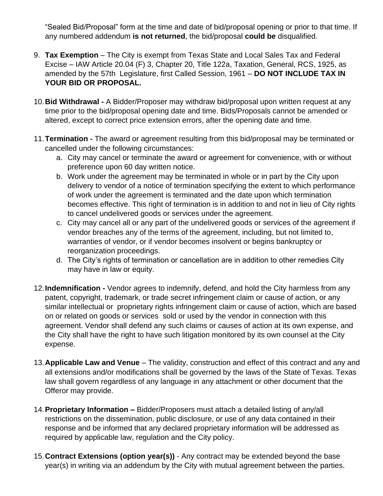"Sealed Bid/Proposal" form at the time and date of bid/proposal opening or prior to that time. If any numbered addendum **is not returned**, the bid/proposal **could be** disqualified.

- 9. **Tax Exemption** The City is exempt from Texas State and Local Sales Tax and Federal Excise – IAW Article 20.04 (F) 3, Chapter 20, Title 122a, Taxation, General, RCS, 1925, as amended by the 57th Legislature, first Called Session, 1961 – **DO NOT INCLUDE TAX IN YOUR BID OR PROPOSAL.**
- 10.**Bid Withdrawal -** A Bidder/Proposer may withdraw bid/proposal upon written request at any time prior to the bid/proposal opening date and time. Bids/Proposals cannot be amended or altered, except to correct price extension errors, after the opening date and time.
- 11.**Termination -** The award or agreement resulting from this bid/proposal may be terminated or cancelled under the following circumstances:
	- a. City may cancel or terminate the award or agreement for convenience, with or without preference upon 60 day written notice.
	- b. Work under the agreement may be terminated in whole or in part by the City upon delivery to vendor of a notice of termination specifying the extent to which performance of work under the agreement is terminated and the date upon which termination becomes effective. This right of termination is in addition to and not in lieu of City rights to cancel undelivered goods or services under the agreement.
	- c. City may cancel all or any part of the undelivered goods or services of the agreement if vendor breaches any of the terms of the agreement, including, but not limited to, warranties of vendor, or if vendor becomes insolvent or begins bankruptcy or reorganization proceedings.
	- d. The City's rights of termination or cancellation are in addition to other remedies City may have in law or equity.
- 12.**Indemnification -** Vendor agrees to indemnify, defend, and hold the City harmless from any patent, copyright, trademark, or trade secret infringement claim or cause of action, or any similar intellectual or proprietary rights infringement claim or cause of action, which are based on or related on goods or services sold or used by the vendor in connection with this agreement. Vendor shall defend any such claims or causes of action at its own expense, and the City shall have the right to have such litigation monitored by its own counsel at the City expense.
- 13.**Applicable Law and Venue** The validity, construction and effect of this contract and any and all extensions and/or modifications shall be governed by the laws of the State of Texas. Texas law shall govern regardless of any language in any attachment or other document that the Offeror may provide.
- 14.**Proprietary Information –** Bidder/Proposers must attach a detailed listing of any/all restrictions on the dissemination, public disclosure, or use of any data contained in their response and be informed that any declared proprietary information will be addressed as required by applicable law, regulation and the City policy.
- 15.**Contract Extensions (option year(s))** Any contract may be extended beyond the base year(s) in writing via an addendum by the City with mutual agreement between the parties.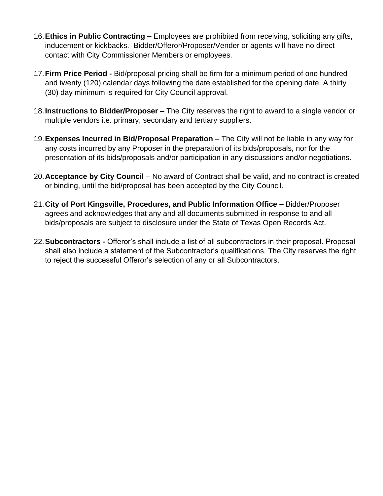- 16.**Ethics in Public Contracting –** Employees are prohibited from receiving, soliciting any gifts, inducement or kickbacks. Bidder/Offeror/Proposer/Vender or agents will have no direct contact with City Commissioner Members or employees.
- 17.**Firm Price Period -** Bid/proposal pricing shall be firm for a minimum period of one hundred and twenty (120) calendar days following the date established for the opening date. A thirty (30) day minimum is required for City Council approval.
- 18.**Instructions to Bidder/Proposer –** The City reserves the right to award to a single vendor or multiple vendors i.e. primary, secondary and tertiary suppliers.
- 19.**Expenses Incurred in Bid/Proposal Preparation** The City will not be liable in any way for any costs incurred by any Proposer in the preparation of its bids/proposals, nor for the presentation of its bids/proposals and/or participation in any discussions and/or negotiations.
- 20.**Acceptance by City Council** No award of Contract shall be valid, and no contract is created or binding, until the bid/proposal has been accepted by the City Council.
- 21.**City of Port Kingsville, Procedures, and Public Information Office –** Bidder/Proposer agrees and acknowledges that any and all documents submitted in response to and all bids/proposals are subject to disclosure under the State of Texas Open Records Act.
- 22.**Subcontractors -** Offeror's shall include a list of all subcontractors in their proposal. Proposal shall also include a statement of the Subcontractor's qualifications. The City reserves the right to reject the successful Offeror's selection of any or all Subcontractors.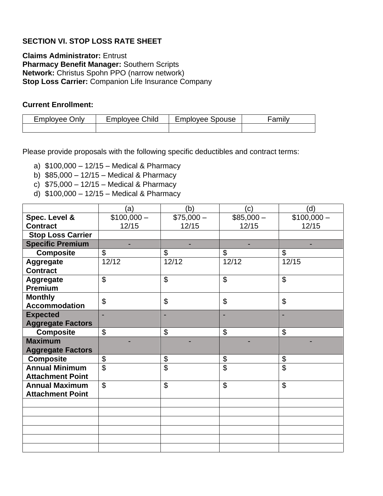## **SECTION VI. STOP LOSS RATE SHEET**

**Claims Administrator:** Entrust **Pharmacy Benefit Manager:** Southern Scripts **Network:** Christus Spohn PPO (narrow network) **Stop Loss Carrier:** Companion Life Insurance Company

#### **Current Enrollment:**

| $\epsilon$ mployee | Child    | mplovee Spouse: | .  |
|--------------------|----------|-----------------|----|
| <b>Jnly</b>        | :mplovee |                 | an |
|                    |          |                 |    |

Please provide proposals with the following specific deductibles and contract terms:

- a) \$100,000 12/15 Medical & Pharmacy
- b) \$85,000 12/15 Medical & Pharmacy
- c) \$75,000 12/15 Medical & Pharmacy
- d) \$100,000 12/15 Medical & Pharmacy

|                          | (a)                       | (b)        | (c)        | (d)            |
|--------------------------|---------------------------|------------|------------|----------------|
| Spec. Level &            | $$100,000-$               | $$75,000-$ | $$85,000-$ | $$100,000-$    |
| <b>Contract</b>          | 12/15                     | 12/15      | 12/15      | 12/15          |
| <b>Stop Loss Carrier</b> |                           |            |            |                |
| <b>Specific Premium</b>  |                           |            |            |                |
| <b>Composite</b>         | $\mathfrak{S}$            | \$         | \$         | \$             |
| <b>Aggregate</b>         | 12/12                     | 12/12      | 12/12      | 12/15          |
| <b>Contract</b>          |                           |            |            |                |
| Aggregate                | $\boldsymbol{\mathsf{S}}$ | \$         | \$         | $\mathfrak{L}$ |
| <b>Premium</b>           |                           |            |            |                |
| <b>Monthly</b>           | $\boldsymbol{\mathsf{S}}$ | \$         | \$         | \$             |
| <b>Accommodation</b>     |                           |            |            |                |
| <b>Expected</b>          |                           |            |            |                |
| <b>Aggregate Factors</b> |                           |            |            |                |
| <b>Composite</b>         | $\mathfrak{S}$            | \$         | \$         | \$             |
| <b>Maximum</b>           |                           |            |            |                |
| <b>Aggregate Factors</b> |                           |            |            |                |
| <b>Composite</b>         | \$                        | \$         | \$         | \$             |
| <b>Annual Minimum</b>    | \$                        | \$         | \$         | \$             |
| <b>Attachment Point</b>  |                           |            |            |                |
| <b>Annual Maximum</b>    | $\mathfrak{S}$            | \$         | \$         | \$             |
| <b>Attachment Point</b>  |                           |            |            |                |
|                          |                           |            |            |                |
|                          |                           |            |            |                |
|                          |                           |            |            |                |
|                          |                           |            |            |                |
|                          |                           |            |            |                |
|                          |                           |            |            |                |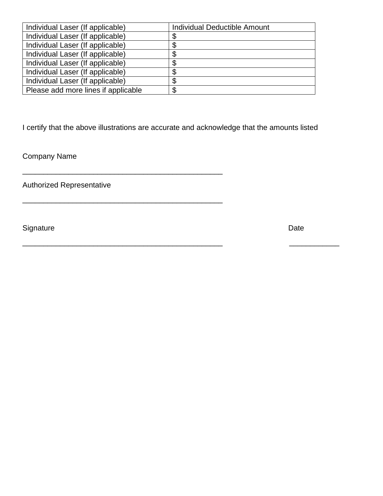| Individual Laser (If applicable)    | <b>Individual Deductible Amount</b> |  |
|-------------------------------------|-------------------------------------|--|
| Individual Laser (If applicable)    | ъD                                  |  |
| Individual Laser (If applicable)    |                                     |  |
| Individual Laser (If applicable)    | ۰D                                  |  |
| Individual Laser (If applicable)    | S                                   |  |
| Individual Laser (If applicable)    | Œ.                                  |  |
| Individual Laser (If applicable)    | \$                                  |  |
| Please add more lines if applicable | \$                                  |  |

I certify that the above illustrations are accurate and acknowledge that the amounts listed

\_\_\_\_\_\_\_\_\_\_\_\_\_\_\_\_\_\_\_\_\_\_\_\_\_\_\_\_\_\_\_\_\_\_\_\_\_\_\_\_\_\_\_\_\_\_\_\_

\_\_\_\_\_\_\_\_\_\_\_\_\_\_\_\_\_\_\_\_\_\_\_\_\_\_\_\_\_\_\_\_\_\_\_\_\_\_\_\_\_\_\_\_\_\_\_\_ \_\_\_\_\_\_\_\_\_\_\_\_

\_\_\_\_\_\_\_\_\_\_\_\_\_\_\_\_\_\_\_\_\_\_\_\_\_\_\_\_\_\_\_\_\_\_\_\_\_\_\_\_\_\_\_\_\_\_\_\_

Company Name

Authorized Representative

Signature Date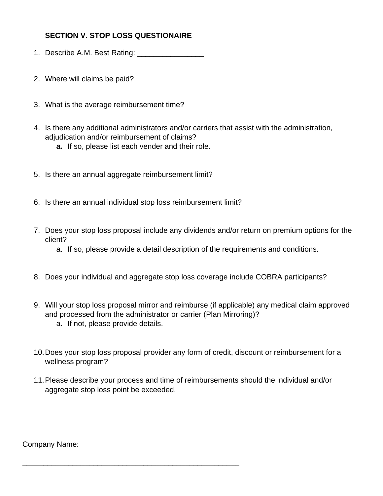## **SECTION V. STOP LOSS QUESTIONAIRE**

- 1. Describe A.M. Best Rating: \_\_\_\_\_\_\_\_\_\_\_\_\_\_\_\_
- 2. Where will claims be paid?
- 3. What is the average reimbursement time?
- 4. Is there any additional administrators and/or carriers that assist with the administration, adjudication and/or reimbursement of claims?
	- **a.** If so, please list each vender and their role.
- 5. Is there an annual aggregate reimbursement limit?
- 6. Is there an annual individual stop loss reimbursement limit?
- 7. Does your stop loss proposal include any dividends and/or return on premium options for the client?
	- a. If so, please provide a detail description of the requirements and conditions.
- 8. Does your individual and aggregate stop loss coverage include COBRA participants?
- 9. Will your stop loss proposal mirror and reimburse (if applicable) any medical claim approved and processed from the administrator or carrier (Plan Mirroring)?
	- a. If not, please provide details.

\_\_\_\_\_\_\_\_\_\_\_\_\_\_\_\_\_\_\_\_\_\_\_\_\_\_\_\_\_\_\_\_\_\_\_\_\_\_\_\_\_\_\_\_\_\_\_\_\_\_\_\_

- 10.Does your stop loss proposal provider any form of credit, discount or reimbursement for a wellness program?
- 11.Please describe your process and time of reimbursements should the individual and/or aggregate stop loss point be exceeded.

Company Name: